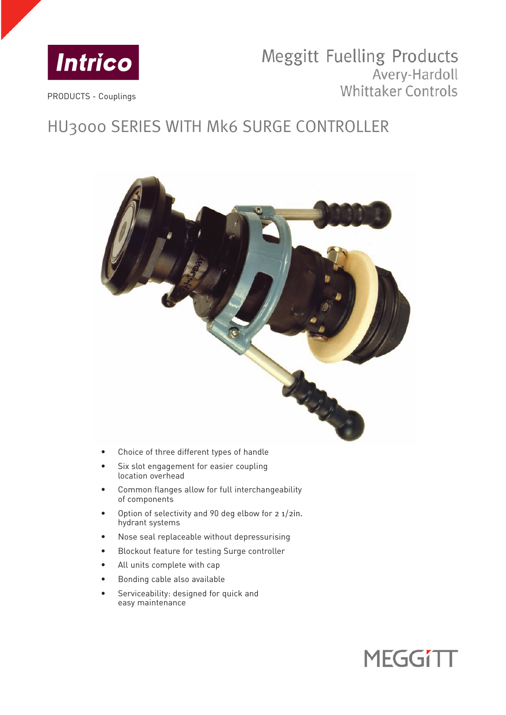

# Meggitt Fuelling Products Avery-Hardoll **Whittaker Controls**

PRODUCTS - Couplings

# HU3000 SERIES WITH Mk6 SURGE CONTROLLER



- Choice of three different types of handle
- Six slot engagement for easier coupling location overhead
- Common flanges allow for full interchangeability of components
- Option of selectivity and 90 deg elbow for 2 1/2in. hydrant systems
- Nose seal replaceable without depressurising
- Blockout feature for testing Surge controller
- All units complete with cap
- Bonding cable also available
- Serviceability: designed for quick and easy maintenance

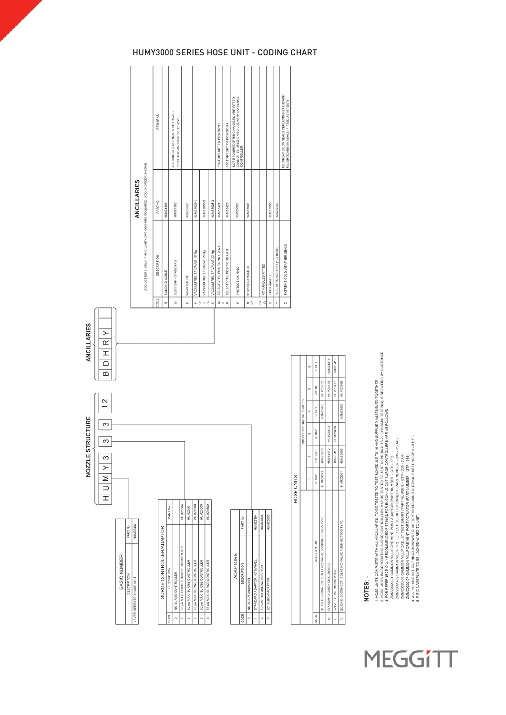| <b>ANCILLARIES</b><br>$\succ$<br>$\overline{\alpha}$<br>$\overline{1}$<br>$\Box$<br>ഥ |              |             |                          |                          |                     |                                |                                                 |                                   |                                   |                                   |                                   |                 |                     |                        |                            |                                    |                                |                      |
|---------------------------------------------------------------------------------------|--------------|-------------|--------------------------|--------------------------|---------------------|--------------------------------|-------------------------------------------------|-----------------------------------|-----------------------------------|-----------------------------------|-----------------------------------|-----------------|---------------------|------------------------|----------------------------|------------------------------------|--------------------------------|----------------------|
| $\overline{C}$<br>NOZZLE STRUCTURE<br>S<br>ω<br>$\infty$<br>V M Y<br>Ξ                |              |             |                          |                          |                     |                                |                                                 |                                   |                                   |                                   |                                   |                 |                     |                        |                            |                                    |                                | <b>INCORPORATION</b> |
|                                                                                       |              | PART No.    | HUMZ3432                 |                          | PART No.            |                                | HUMZ3504                                        | HUMZ3501                          | HUMZ3503                          | HUMZ3500                          | HUMZ3502                          |                 | PART No.            |                        | HUMZ3394                   | HUMZ3396                           | HUMZ3505                       |                      |
|                                                                                       | BASIC NUMBER | DESCRIPTION | LEVER OPERATED HOSE UNIT | SURGE CONTROLLER/ADAPTOR | DESCRIPTION<br>CODE | NO SURGE CONTROLLER<br>$\circ$ | 55 psi MAX. DOUBLE SURGE CONTROLLER<br>$\alpha$ | 30 psi MAX. SURGE CONTROLLER<br>ø | 45 psi MAX. SURGE CONTROLLER<br>q | 50 psi MAX. SURGE CONTROLLER<br>φ | 55 psi MAX. SURGE CONTROLLER<br>ø | <b>ADAPTORS</b> | DESCRIPTION<br>CODE | NO ADAPTOR/SWIVEL<br>o | STANDARD ADAPTORINO SWIVEL | FLIGHT REFUELING ADAPTOR<br>$\sim$ | <b>90" ELBOW ADAPTOR</b><br>69 |                      |

# NOTES: -

1. HOSE UNITS COMPLETE WITH ALL ANCILLARES, TO BE TESTED TO TEST SCHEDULE TS 16 AND SUPPLIED ASSEMBLED TOGETHER.<br>2. HOSE UNITS COMPARENDA SIMISME DIFTINGS ERRIGATION DESTINGED LIGES CONFIDELLES AND SUPPLIED ASSEMBLED TOGET

# HUMY3000 SERIES HOSE UNIT - CODING CHART

NOT REQUIRED IF RING HANDLES ARE FITTED.<br>CANNOT BE USED ON BUILDS WITH NO SURGE<br>CONTROLLER.

HUPZ3393

HUMZ3507

HUMZ3425

FACTORY SET TO POSITION 4 FACTORY SET TO POSITION 1

HUMZ9635-3<br>HUMZ9424

VACUUM RELIEF VALVE 22"H<sub>9</sub><br>SELECTIVITY, POSITIONS 1, 2 & 3

 $\pm$  8  $\rightarrow$  8  $\times$   $\,$   $\equiv$  8  $\,z$ 

SELECTIVITY, POSITIONS 4 & 5

 $\mathbf{a}$ 

HUMZ3635-1 HUMZ3635-2

VACUUM RELIEF VALVE 10°Hg VACUUM RELIEF VALVE 15"Hg

WEAR GAUGE

 $\overline{u}$ 

**1USZ3392** 

ALL BUILDS (EXTERNAL & INTERNAL -<br>SELECTIVE AND NON-SELECTIVE.)

HUMZ4362

DUST CAP - STANDARD

 $\overline{\mathbf{r}}$ 

BONDING CABLE

HUMZ1366

REMARKS

ADD LETTERS ONLY IF ANCILLARY OPTIONS ARE REQUIRED. ADD IN ORDER SHOWN.

PART NO.

DESCRIPTION

**SODE**  $\overline{\phantom{0}}$ 

**ANCILLARIES** 

FLUORO-SILICON SEALS REPLACING STANDARD<br>FLUOROCARBON SEALS.(FIITED AS KIT-SET)

HUMZ3508

EXTREME COLD WEATHER SEALS

FUEL STRAINER ASSY (100 MESH)

NO HANDLES FITTED 9" SPREAD HANDLE PROTECTION RING

 $\alpha$  %  $\in$  %  $\geq$ 

STICK HANDLE

 $\overline{\cdot}$ 

 $\rightarrow$  $\overline{N}$ 

**MEGGITT**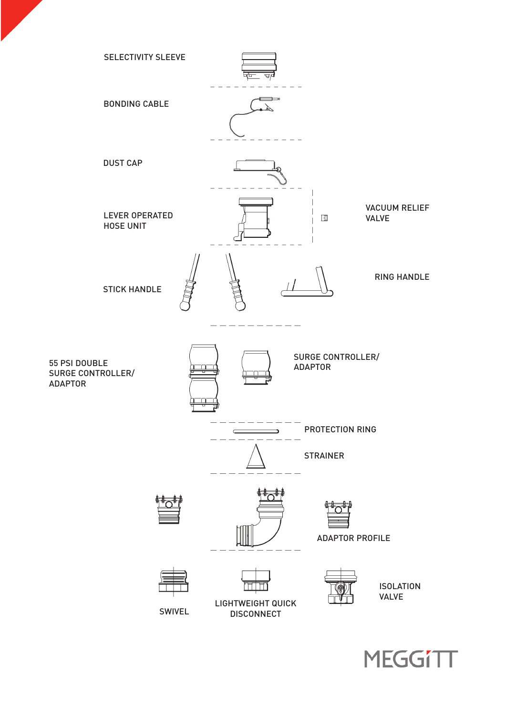